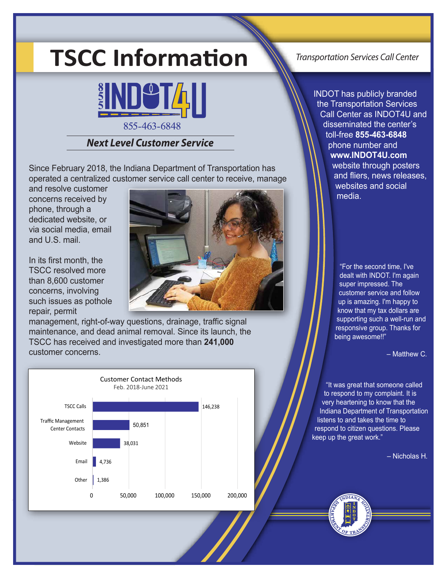# **TSCC Information**



# *Next Level Customer Service*

Since February 2018, the Indiana Department of Transportation has operated a centralized customer service call center to receive, manage

and resolve customer concerns received by phone, through a dedicated website, or via social media, email and U.S. mail.

In its first month, the TSCC resolved more than 8,600 customer concerns, involving such issues as pothole repair, permit



management, right-of-way questions, drainage, traffic signal maintenance, and dead animal removal. Since its launch, the TSCC has received and investigated more than **241,000** customer concerns.



*Transportation Services Call Center*

INDOT has publicly branded the Transportation Services Call Center as INDOT4U and disseminated the center's toll-free **855-463-6848** phone number and **www.INDOT4U.com** website through posters and fliers, news releases, websites and social media.

> "For the second time, I've dealt with INDOT. I'm again super impressed. The customer service and follow up is amazing. I'm happy to know that my tax dollars are supporting such a well-run and responsive group. Thanks for being awesome!!"

> > $-$  Matthew C.

"It was great that someone called to respond to my complaint. It is very heartening to know that the Indiana Department of Transportation listens to and takes the time to respond to citizen questions. Please keep up the great work."

 *‒* Nicholas H*.*